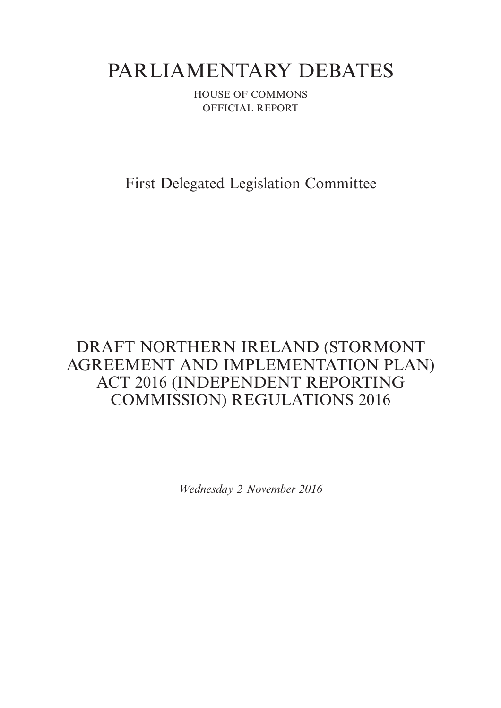# PARLIAMENTARY DEBATES

HOUSE OF COMMONS OFFICIAL REPORT

First Delegated Legislation Committee

## DRAFT NORTHERN IRELAND (STORMONT AGREEMENT AND IMPLEMENTATION PLAN) ACT 2016 (INDEPENDENT REPORTING COMMISSION) REGULATIONS 2016

*Wednesday 2 November 2016*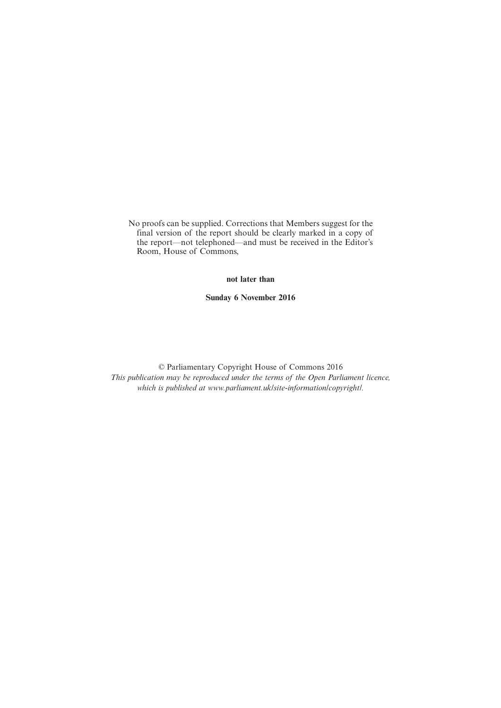No proofs can be supplied. Corrections that Members suggest for the final version of the report should be clearly marked in a copy of the report—not telephoned—and must be received in the Editor's Room, House of Commons,

## **not later than**

**Sunday 6 November 2016**

© Parliamentary Copyright House of Commons 2016 *This publication may be reproduced under the terms of the Open Parliament licence, which is published at www.parliament.uk/site-information/copyright/.*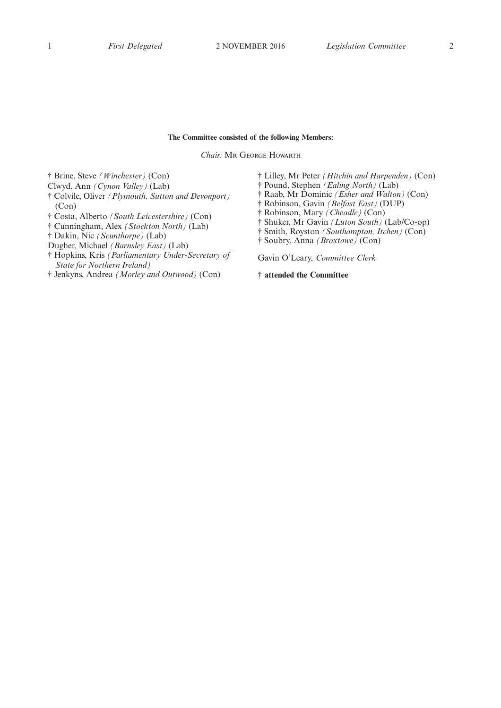## **The Committee consisted of the following Members:**

*Chair:* M<sup>R</sup> GEORGE HOWARTH

† Brine, Steve *(Winchester)* (Con)

- Clwyd, Ann *(Cynon Valley)* (Lab)
- † Colvile, Oliver *(Plymouth, Sutton and Devonport)* (Con)
- † Costa, Alberto *(South Leicestershire)* (Con)
- † Cunningham, Alex *(Stockton North)* (Lab)
- † Dakin, Nic *(Scunthorpe)* (Lab)

Dugher, Michael *(Barnsley East)* (Lab)

- † Hopkins, Kris *(Parliamentary Under-Secretary of State for Northern Ireland)*
- † Jenkyns, Andrea *(Morley and Outwood)* (Con)

† Lilley, Mr Peter *(Hitchin and Harpenden)* (Con)

- † Pound, Stephen *(Ealing North)* (Lab)
- † Raab, Mr Dominic *(Esher and Walton)* (Con)
- † Robinson, Gavin *(Belfast East)* (DUP)
- † Robinson, Mary *(Cheadle)* (Con)
- † Shuker, Mr Gavin *(Luton South)* (Lab/Co-op)
- † Smith, Royston *(Southampton, Itchen)* (Con)
- † Soubry, Anna *(Broxtowe)* (Con)

Gavin O'Leary, *Committee Clerk*

**† attended the Committee**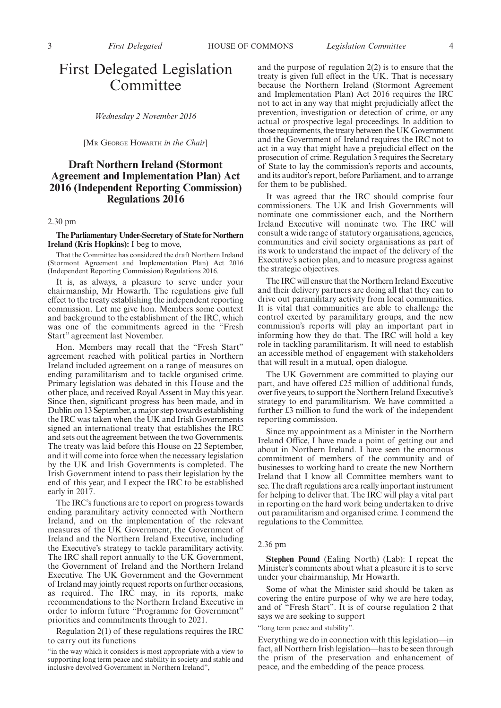*Wednesday 2 November 2016*

[M<sup>R</sup> GEORGE HOWARTH *in the Chair*]

## **Draft Northern Ireland (Stormont Agreement and Implementation Plan) Act 2016 (Independent Reporting Commission) Regulations 2016**

### 2.30 pm

**The Parliamentary Under-Secretary of State for Northern Ireland (Kris Hopkins):** I beg to move,

That the Committee has considered the draft Northern Ireland (Stormont Agreement and Implementation Plan) Act 2016 (Independent Reporting Commission) Regulations 2016.

It is, as always, a pleasure to serve under your chairmanship, Mr Howarth. The regulations give full effect to the treaty establishing the independent reporting commission. Let me give hon. Members some context and background to the establishment of the IRC, which was one of the commitments agreed in the "Fresh Start" agreement last November.

Hon. Members may recall that the "Fresh Start" agreement reached with political parties in Northern Ireland included agreement on a range of measures on ending paramilitarism and to tackle organised crime. Primary legislation was debated in this House and the other place, and received Royal Assent in May this year. Since then, significant progress has been made, and in Dublin on 13 September, a major step towards establishing the IRC was taken when the UK and Irish Governments signed an international treaty that establishes the IRC and sets out the agreement between the two Governments. The treaty was laid before this House on 22 September, and it will come into force when the necessary legislation by the UK and Irish Governments is completed. The Irish Government intend to pass their legislation by the end of this year, and I expect the IRC to be established early in 2017.

The IRC's functions are to report on progress towards ending paramilitary activity connected with Northern Ireland, and on the implementation of the relevant measures of the UK Government, the Government of Ireland and the Northern Ireland Executive, including the Executive's strategy to tackle paramilitary activity. The IRC shall report annually to the UK Government, the Government of Ireland and the Northern Ireland Executive. The UK Government and the Government of Ireland may jointly request reports on further occasions, as required. The IRC may, in its reports, make recommendations to the Northern Ireland Executive in order to inform future "Programme for Government" priorities and commitments through to 2021.

Regulation 2(1) of these regulations requires the IRC to carry out its functions

and the purpose of regulation 2(2) is to ensure that the treaty is given full effect in the UK. That is necessary because the Northern Ireland (Stormont Agreement and Implementation Plan) Act 2016 requires the IRC not to act in any way that might prejudicially affect the prevention, investigation or detection of crime, or any actual or prospective legal proceedings. In addition to those requirements, the treaty between the UK Government and the Government of Ireland requires the IRC not to act in a way that might have a prejudicial effect on the prosecution of crime. Regulation 3 requires the Secretary of State to lay the commission's reports and accounts, and its auditor's report, before Parliament, and to arrange for them to be published.

It was agreed that the IRC should comprise four commissioners. The UK and Irish Governments will nominate one commissioner each, and the Northern Ireland Executive will nominate two. The IRC will consult a wide range of statutory organisations, agencies, communities and civil society organisations as part of its work to understand the impact of the delivery of the Executive's action plan, and to measure progress against the strategic objectives.

The IRC will ensure that the Northern Ireland Executive and their delivery partners are doing all that they can to drive out paramilitary activity from local communities. It is vital that communities are able to challenge the control exerted by paramilitary groups, and the new commission's reports will play an important part in informing how they do that. The IRC will hold a key role in tackling paramilitarism. It will need to establish an accessible method of engagement with stakeholders that will result in a mutual, open dialogue.

The UK Government are committed to playing our part, and have offered £25 million of additional funds, over five years, to support the Northern Ireland Executive's strategy to end paramilitarism. We have committed a further £3 million to fund the work of the independent reporting commission.

Since my appointment as a Minister in the Northern Ireland Office, I have made a point of getting out and about in Northern Ireland. I have seen the enormous commitment of members of the community and of businesses to working hard to create the new Northern Ireland that I know all Committee members want to see. The draft regulations are a really important instrument for helping to deliver that. The IRC will play a vital part in reporting on the hard work being undertaken to drive out paramilitarism and organised crime. I commend the regulations to the Committee.

#### 2.36 pm

**Stephen Pound** (Ealing North) (Lab): I repeat the Minister's comments about what a pleasure it is to serve under your chairmanship, Mr Howarth.

Some of what the Minister said should be taken as covering the entire purpose of why we are here today, and of "Fresh Start". It is of course regulation 2 that says we are seeking to support

"long term peace and stability".

Everything we do in connection with this legislation—in fact, all Northern Irish legislation—has to be seen through the prism of the preservation and enhancement of peace, and the embedding of the peace process.

<sup>&</sup>quot;in the way which it considers is most appropriate with a view to supporting long term peace and stability in society and stable and inclusive devolved Government in Northern Ireland",